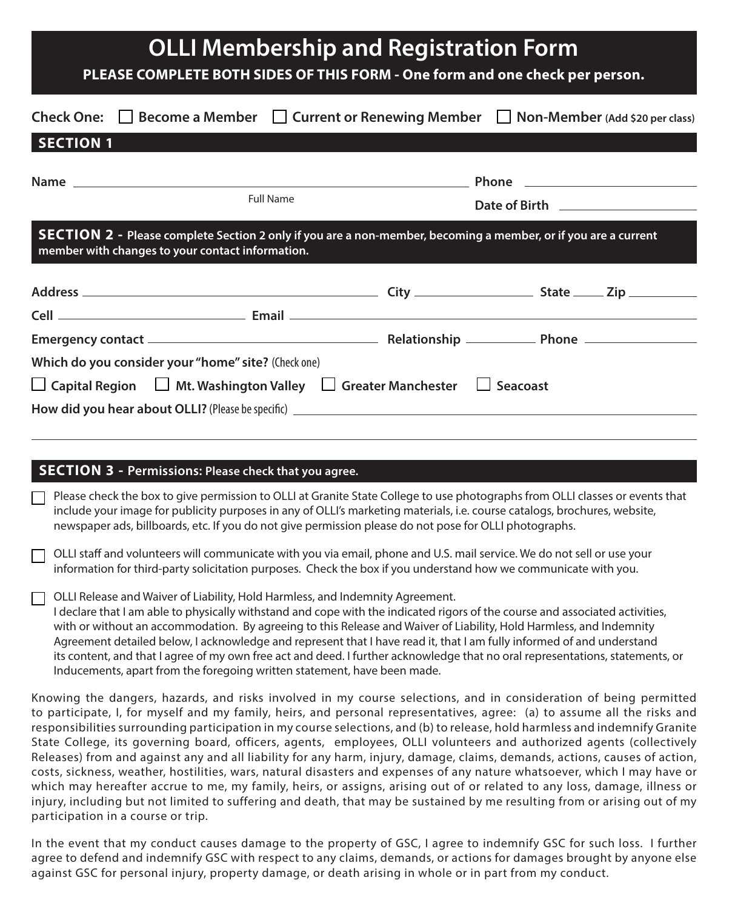| <b>OLLI Membership and Registration Form</b><br>PLEASE COMPLETE BOTH SIDES OF THIS FORM - One form and one check per person.                                                                                                                                                                                                                                                                                                                                                                                                                                                                                                                                                                                                                                                                                                                                                                 |  |  |                                                                                                                                                                                                                                      |  |
|----------------------------------------------------------------------------------------------------------------------------------------------------------------------------------------------------------------------------------------------------------------------------------------------------------------------------------------------------------------------------------------------------------------------------------------------------------------------------------------------------------------------------------------------------------------------------------------------------------------------------------------------------------------------------------------------------------------------------------------------------------------------------------------------------------------------------------------------------------------------------------------------|--|--|--------------------------------------------------------------------------------------------------------------------------------------------------------------------------------------------------------------------------------------|--|
| Check One: $\Box$ Become a Member $\Box$ Current or Renewing Member $\Box$ Non-Member (Add \$20 per class)                                                                                                                                                                                                                                                                                                                                                                                                                                                                                                                                                                                                                                                                                                                                                                                   |  |  |                                                                                                                                                                                                                                      |  |
| <b>SECTION 1</b>                                                                                                                                                                                                                                                                                                                                                                                                                                                                                                                                                                                                                                                                                                                                                                                                                                                                             |  |  |                                                                                                                                                                                                                                      |  |
| <b>Full Name</b>                                                                                                                                                                                                                                                                                                                                                                                                                                                                                                                                                                                                                                                                                                                                                                                                                                                                             |  |  | Date of Birth <u>Samuel Barbara and Birth and Birth and Birth and Birth and Birth and Birth and Birth and Birth and Birth and Birth and Birth and Birth and Birth and Birth and Birth and Birth and Birth and Birth and Birth an</u> |  |
| SECTION 2 - Please complete Section 2 only if you are a non-member, becoming a member, or if you are a current<br>member with changes to your contact information.                                                                                                                                                                                                                                                                                                                                                                                                                                                                                                                                                                                                                                                                                                                           |  |  |                                                                                                                                                                                                                                      |  |
|                                                                                                                                                                                                                                                                                                                                                                                                                                                                                                                                                                                                                                                                                                                                                                                                                                                                                              |  |  |                                                                                                                                                                                                                                      |  |
| Which do you consider your "home" site? (Check one)                                                                                                                                                                                                                                                                                                                                                                                                                                                                                                                                                                                                                                                                                                                                                                                                                                          |  |  |                                                                                                                                                                                                                                      |  |
| □ Capital Region □ Mt. Washington Valley □ Greater Manchester □ Seacoast                                                                                                                                                                                                                                                                                                                                                                                                                                                                                                                                                                                                                                                                                                                                                                                                                     |  |  |                                                                                                                                                                                                                                      |  |
| <b>SECTION 3 - Permissions: Please check that you agree.</b>                                                                                                                                                                                                                                                                                                                                                                                                                                                                                                                                                                                                                                                                                                                                                                                                                                 |  |  |                                                                                                                                                                                                                                      |  |
| Please check the box to give permission to OLLI at Granite State College to use photographs from OLLI classes or events that<br>include your image for publicity purposes in any of OLLI's marketing materials, i.e. course catalogs, brochures, website,<br>newspaper ads, billboards, etc. If you do not give permission please do not pose for OLLI photographs.                                                                                                                                                                                                                                                                                                                                                                                                                                                                                                                          |  |  |                                                                                                                                                                                                                                      |  |
| OLLI staff and volunteers will communicate with you via email, phone and U.S. mail service. We do not sell or use your<br>information for third-party solicitation purposes. Check the box if you understand how we communicate with you.                                                                                                                                                                                                                                                                                                                                                                                                                                                                                                                                                                                                                                                    |  |  |                                                                                                                                                                                                                                      |  |
| OLLI Release and Waiver of Liability, Hold Harmless, and Indemnity Agreement.<br>I declare that I am able to physically withstand and cope with the indicated rigors of the course and associated activities,<br>with or without an accommodation. By agreeing to this Release and Waiver of Liability, Hold Harmless, and Indemnity<br>Agreement detailed below, I acknowledge and represent that I have read it, that I am fully informed of and understand<br>its content, and that I agree of my own free act and deed. I further acknowledge that no oral representations, statements, or<br>Inducements, apart from the foregoing written statement, have been made.                                                                                                                                                                                                                   |  |  |                                                                                                                                                                                                                                      |  |
| Knowing the dangers, hazards, and risks involved in my course selections, and in consideration of being permitted<br>to participate, I, for myself and my family, heirs, and personal representatives, agree: (a) to assume all the risks and<br>responsibilities surrounding participation in my course selections, and (b) to release, hold harmless and indemnify Granite<br>State College, its governing board, officers, agents, employees, OLLI volunteers and authorized agents (collectively<br>Releases) from and against any and all liability for any harm, injury, damage, claims, demands, actions, causes of action,<br>costs, sickness, weather, hostilities, wars, natural disasters and expenses of any nature whatsoever, which I may have or<br>which may hereafter accrue to me, my family, heirs, or assigns, arising out of or related to any loss, damage, illness or |  |  |                                                                                                                                                                                                                                      |  |

which may hereafter accrue to me, my family, heirs, or assigns, arising out of or related to any loss, damage, illness or injury, including but not limited to suffering and death, that may be sustained by me resulting from or arising out of my participation in a course or trip.

In the event that my conduct causes damage to the property of GSC, I agree to indemnify GSC for such loss. I further agree to defend and indemnify GSC with respect to any claims, demands, or actions for damages brought by anyone else against GSC for personal injury, property damage, or death arising in whole or in part from my conduct.